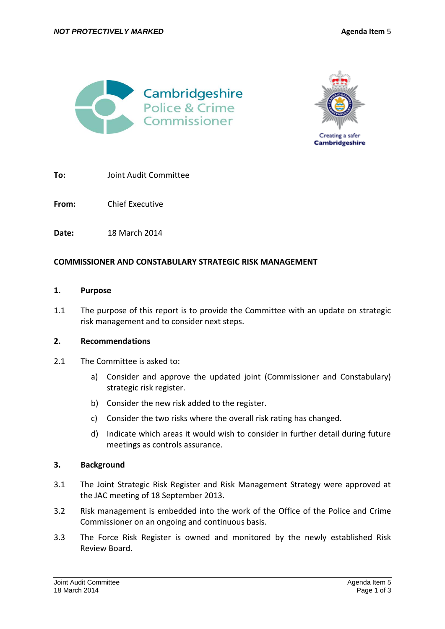



**To:** Joint Audit Committee

**From:** Chief Executive

**Date:** 18 March 2014

### **COMMISSIONER AND CONSTABULARY STRATEGIC RISK MANAGEMENT**

#### **1. Purpose**

1.1 The purpose of this report is to provide the Committee with an update on strategic risk management and to consider next steps.

### **2. Recommendations**

- 2.1 The Committee is asked to:
	- a) Consider and approve the updated joint (Commissioner and Constabulary) strategic risk register.
	- b) Consider the new risk added to the register.
	- c) Consider the two risks where the overall risk rating has changed.
	- d) Indicate which areas it would wish to consider in further detail during future meetings as controls assurance.

### **3. Background**

- 3.1 The Joint Strategic Risk Register and Risk Management Strategy were approved at the JAC meeting of 18 September 2013.
- 3.2 Risk management is embedded into the work of the Office of the Police and Crime Commissioner on an ongoing and continuous basis.
- 3.3 The Force Risk Register is owned and monitored by the newly established Risk Review Board.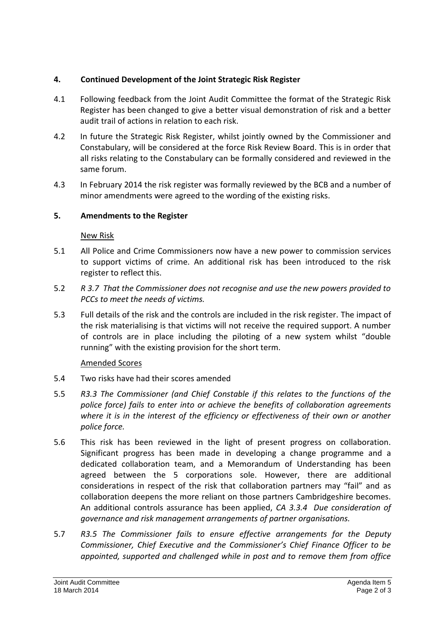# **4. Continued Development of the Joint Strategic Risk Register**

- 4.1 Following feedback from the Joint Audit Committee the format of the Strategic Risk Register has been changed to give a better visual demonstration of risk and a better audit trail of actions in relation to each risk.
- 4.2 In future the Strategic Risk Register, whilst jointly owned by the Commissioner and Constabulary, will be considered at the force Risk Review Board. This is in order that all risks relating to the Constabulary can be formally considered and reviewed in the same forum.
- 4.3 In February 2014 the risk register was formally reviewed by the BCB and a number of minor amendments were agreed to the wording of the existing risks.

# **5. Amendments to the Register**

## New Risk

- 5.1 All Police and Crime Commissioners now have a new power to commission services to support victims of crime. An additional risk has been introduced to the risk register to reflect this.
- 5.2 *R 3.7 That the Commissioner does not recognise and use the new powers provided to PCCs to meet the needs of victims.*
- 5.3 Full details of the risk and the controls are included in the risk register. The impact of the risk materialising is that victims will not receive the required support. A number of controls are in place including the piloting of a new system whilst "double running" with the existing provision for the short term.

# Amended Scores

- 5.4 Two risks have had their scores amended
- 5.5 *R3.3 The Commissioner (and Chief Constable if this relates to the functions of the police force) fails to enter into or achieve the benefits of collaboration agreements where it is in the interest of the efficiency or effectiveness of their own or another police force.*
- 5.6 This risk has been reviewed in the light of present progress on collaboration. Significant progress has been made in developing a change programme and a dedicated collaboration team, and a Memorandum of Understanding has been agreed between the 5 corporations sole. However, there are additional considerations in respect of the risk that collaboration partners may "fail" and as collaboration deepens the more reliant on those partners Cambridgeshire becomes. An additional controls assurance has been applied, *CA 3.3.4 Due consideration of governance and risk management arrangements of partner organisations.*
- 5.7 *R3.5 The Commissioner fails to ensure effective arrangements for the Deputy Commissioner, Chief Executive and the Commissioner's Chief Finance Officer to be appointed, supported and challenged while in post and to remove them from office*